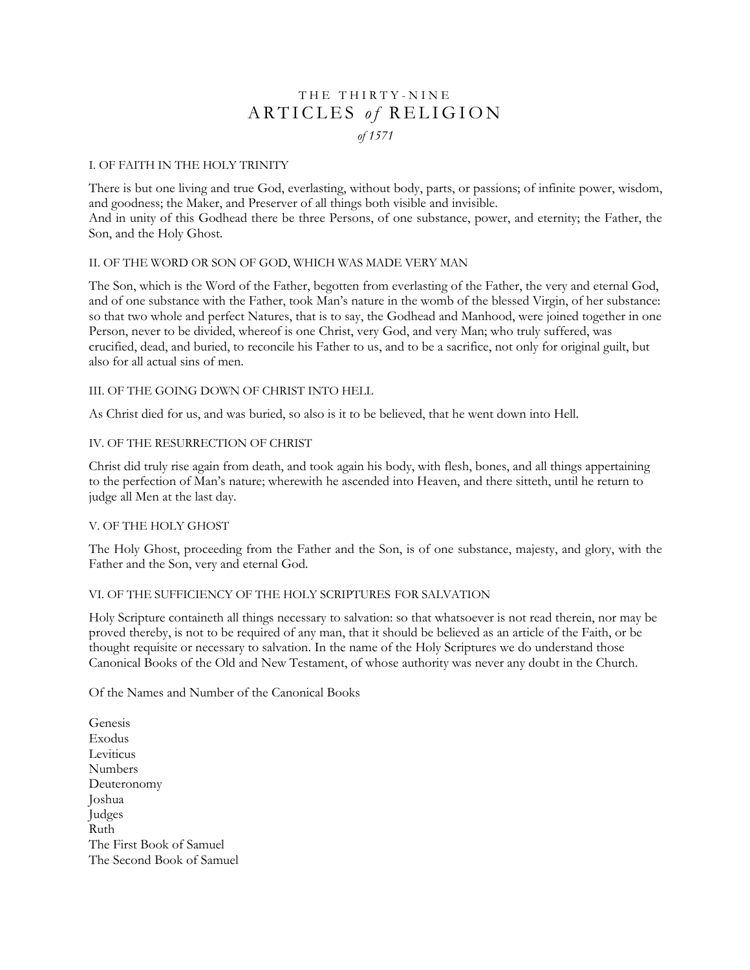# THE THIRTY - NINE ARTICLES of RELIGION *of 1571*

### I. OF FAITH IN THE HOLY TRINITY

There is but one living and true God, everlasting, without body, parts, or passions; of infinite power, wisdom, and goodness; the Maker, and Preserver of all things both visible and invisible. And in unity of this Godhead there be three Persons, of one substance, power, and eternity; the Father, the Son, and the Holy Ghost.

### II. OF THE WORD OR SON OF GOD, WHICH WAS MADE VERY MAN

The Son, which is the Word of the Father, begotten from everlasting of the Father, the very and eternal God, and of one substance with the Father, took Man's nature in the womb of the blessed Virgin, of her substance: so that two whole and perfect Natures, that is to say, the Godhead and Manhood, were joined together in one Person, never to be divided, whereof is one Christ, very God, and very Man; who truly suffered, was crucified, dead, and buried, to reconcile his Father to us, and to be a sacrifice, not only for original guilt, but also for all actual sins of men.

### III. OF THE GOING DOWN OF CHRIST INTO HELL

As Christ died for us, and was buried, so also is it to be believed, that he went down into Hell.

### IV. OF THE RESURRECTION OF CHRIST

Christ did truly rise again from death, and took again his body, with flesh, bones, and all things appertaining to the perfection of Man's nature; wherewith he ascended into Heaven, and there sitteth, until he return to judge all Men at the last day.

### V. OF THE HOLY GHOST

The Holy Ghost, proceeding from the Father and the Son, is of one substance, majesty, and glory, with the Father and the Son, very and eternal God.

# VI. OF THE SUFFICIENCY OF THE HOLY SCRIPTURES FOR SALVATION

Holy Scripture containeth all things necessary to salvation: so that whatsoever is not read therein, nor may be proved thereby, is not to be required of any man, that it should be believed as an article of the Faith, or be thought requisite or necessary to salvation. In the name of the Holy Scriptures we do understand those Canonical Books of the Old and New Testament, of whose authority was never any doubt in the Church.

Of the Names and Number of the Canonical Books

Genesis Exodus Leviticus Numbers Deuteronomy Joshua Judges Ruth The First Book of Samuel The Second Book of Samuel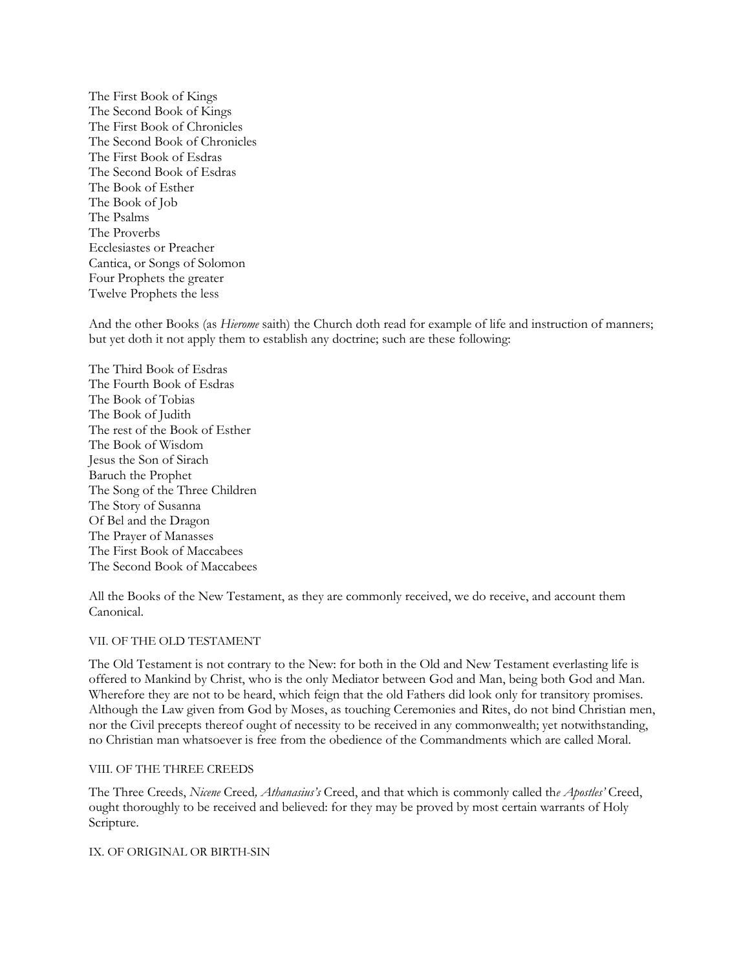The First Book of Kings The Second Book of Kings The First Book of Chronicles The Second Book of Chronicles The First Book of Esdras The Second Book of Esdras The Book of Esther The Book of Job The Psalms The Proverbs Ecclesiastes or Preacher Cantica, or Songs of Solomon Four Prophets the greater Twelve Prophets the less

And the other Books (as *Hierome* saith) the Church doth read for example of life and instruction of manners; but yet doth it not apply them to establish any doctrine; such are these following:

The Third Book of Esdras The Fourth Book of Esdras The Book of Tobias The Book of Judith The rest of the Book of Esther The Book of Wisdom Jesus the Son of Sirach Baruch the Prophet The Song of the Three Children The Story of Susanna Of Bel and the Dragon The Prayer of Manasses The First Book of Maccabees The Second Book of Maccabees

All the Books of the New Testament, as they are commonly received, we do receive, and account them Canonical.

#### VII. OF THE OLD TESTAMENT

The Old Testament is not contrary to the New: for both in the Old and New Testament everlasting life is offered to Mankind by Christ, who is the only Mediator between God and Man, being both God and Man. Wherefore they are not to be heard, which feign that the old Fathers did look only for transitory promises. Although the Law given from God by Moses, as touching Ceremonies and Rites, do not bind Christian men, nor the Civil precepts thereof ought of necessity to be received in any commonwealth; yet notwithstanding, no Christian man whatsoever is free from the obedience of the Commandments which are called Moral.

#### VIII. OF THE THREE CREEDS

The Three Creeds, *Nicene* Creed*, Athanasius's* Creed, and that which is commonly called th*e Apostles'* Creed, ought thoroughly to be received and believed: for they may be proved by most certain warrants of Holy Scripture.

IX. OF ORIGINAL OR BIRTH-SIN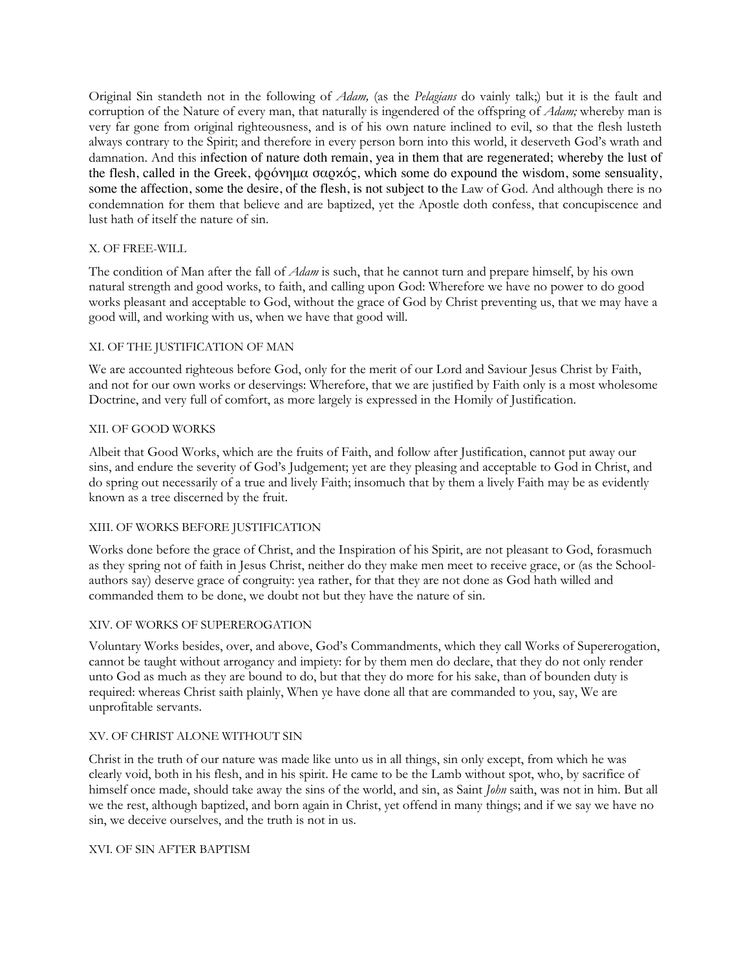Original Sin standeth not in the following of *Adam,* (as the *Pelagians* do vainly talk;) but it is the fault and corruption of the Nature of every man, that naturally is ingendered of the offspring of *Adam;* whereby man is very far gone from original righteousness, and is of his own nature inclined to evil, so that the flesh lusteth always contrary to the Spirit; and therefore in every person born into this world, it deserveth God's wrath and damnation. And this infection of nature doth remain, yea in them that are regenerated; whereby the lust of the flesh, called in the Greek, φρόνημα σαρκός, which some do expound the wisdom, some sensuality, some the affection, some the desire, of the flesh, is not subject to the Law of God. And although there is no condemnation for them that believe and are baptized, yet the Apostle doth confess, that concupiscence and lust hath of itself the nature of sin.

### X. OF FREE-WILL

The condition of Man after the fall of *Adam* is such, that he cannot turn and prepare himself, by his own natural strength and good works, to faith, and calling upon God: Wherefore we have no power to do good works pleasant and acceptable to God, without the grace of God by Christ preventing us, that we may have a good will, and working with us, when we have that good will.

### XI. OF THE JUSTIFICATION OF MAN

We are accounted righteous before God, only for the merit of our Lord and Saviour Jesus Christ by Faith, and not for our own works or deservings: Wherefore, that we are justified by Faith only is a most wholesome Doctrine, and very full of comfort, as more largely is expressed in the Homily of Justification.

### XII. OF GOOD WORKS

Albeit that Good Works, which are the fruits of Faith, and follow after Justification, cannot put away our sins, and endure the severity of God's Judgement; yet are they pleasing and acceptable to God in Christ, and do spring out necessarily of a true and lively Faith; insomuch that by them a lively Faith may be as evidently known as a tree discerned by the fruit.

### XIII. OF WORKS BEFORE JUSTIFICATION

Works done before the grace of Christ, and the Inspiration of his Spirit, are not pleasant to God, forasmuch as they spring not of faith in Jesus Christ, neither do they make men meet to receive grace, or (as the Schoolauthors say) deserve grace of congruity: yea rather, for that they are not done as God hath willed and commanded them to be done, we doubt not but they have the nature of sin.

### XIV. OF WORKS OF SUPEREROGATION

Voluntary Works besides, over, and above, God's Commandments, which they call Works of Supererogation, cannot be taught without arrogancy and impiety: for by them men do declare, that they do not only render unto God as much as they are bound to do, but that they do more for his sake, than of bounden duty is required: whereas Christ saith plainly, When ye have done all that are commanded to you, say, We are unprofitable servants.

### XV. OF CHRIST ALONE WITHOUT SIN

Christ in the truth of our nature was made like unto us in all things, sin only except, from which he was clearly void, both in his flesh, and in his spirit. He came to be the Lamb without spot, who, by sacrifice of himself once made, should take away the sins of the world, and sin, as Saint *John* saith, was not in him. But all we the rest, although baptized, and born again in Christ, yet offend in many things; and if we say we have no sin, we deceive ourselves, and the truth is not in us.

### XVI. OF SIN AFTER BAPTISM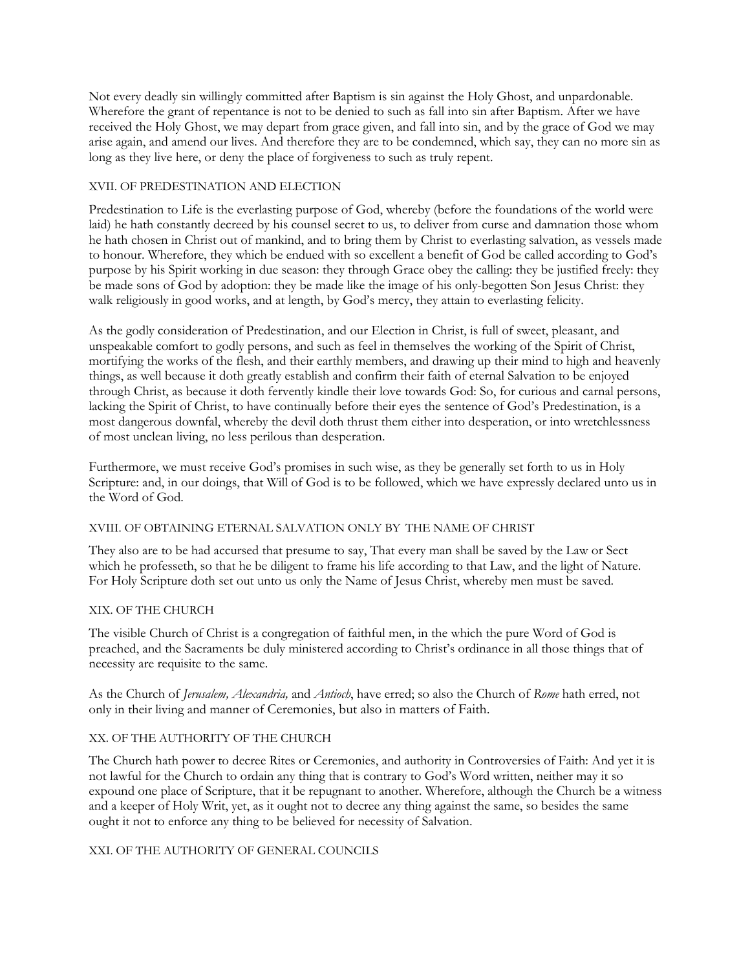Not every deadly sin willingly committed after Baptism is sin against the Holy Ghost, and unpardonable. Wherefore the grant of repentance is not to be denied to such as fall into sin after Baptism. After we have received the Holy Ghost, we may depart from grace given, and fall into sin, and by the grace of God we may arise again, and amend our lives. And therefore they are to be condemned, which say, they can no more sin as long as they live here, or deny the place of forgiveness to such as truly repent.

### XVII. OF PREDESTINATION AND ELECTION

Predestination to Life is the everlasting purpose of God, whereby (before the foundations of the world were laid) he hath constantly decreed by his counsel secret to us, to deliver from curse and damnation those whom he hath chosen in Christ out of mankind, and to bring them by Christ to everlasting salvation, as vessels made to honour. Wherefore, they which be endued with so excellent a benefit of God be called according to God's purpose by his Spirit working in due season: they through Grace obey the calling: they be justified freely: they be made sons of God by adoption: they be made like the image of his only-begotten Son Jesus Christ: they walk religiously in good works, and at length, by God's mercy, they attain to everlasting felicity.

As the godly consideration of Predestination, and our Election in Christ, is full of sweet, pleasant, and unspeakable comfort to godly persons, and such as feel in themselves the working of the Spirit of Christ, mortifying the works of the flesh, and their earthly members, and drawing up their mind to high and heavenly things, as well because it doth greatly establish and confirm their faith of eternal Salvation to be enjoyed through Christ, as because it doth fervently kindle their love towards God: So, for curious and carnal persons, lacking the Spirit of Christ, to have continually before their eyes the sentence of God's Predestination, is a most dangerous downfal, whereby the devil doth thrust them either into desperation, or into wretchlessness of most unclean living, no less perilous than desperation.

Furthermore, we must receive God's promises in such wise, as they be generally set forth to us in Holy Scripture: and, in our doings, that Will of God is to be followed, which we have expressly declared unto us in the Word of God.

### XVIII. OF OBTAINING ETERNAL SALVATION ONLY BY   THE NAME OF CHRIST

They also are to be had accursed that presume to say, That every man shall be saved by the Law or Sect which he professeth, so that he be diligent to frame his life according to that Law, and the light of Nature. For Holy Scripture doth set out unto us only the Name of Jesus Christ, whereby men must be saved.

### XIX. OF THE CHURCH

The visible Church of Christ is a congregation of faithful men, in the which the pure Word of God is preached, and the Sacraments be duly ministered according to Christ's ordinance in all those things that of necessity are requisite to the same.

As the Church of *Jerusalem, Alexandria,* and *Antioch*, have erred; so also the Church of *Rome* hath erred, not only in their living and manner of Ceremonies, but also in matters of Faith.

# XX. OF THE AUTHORITY OF THE CHURCH

The Church hath power to decree Rites or Ceremonies, and authority in Controversies of Faith: And yet it is not lawful for the Church to ordain any thing that is contrary to God's Word written, neither may it so expound one place of Scripture, that it be repugnant to another. Wherefore, although the Church be a witness and a keeper of Holy Writ, yet, as it ought not to decree any thing against the same, so besides the same ought it not to enforce any thing to be believed for necessity of Salvation.

### XXI. OF THE AUTHORITY OF GENERAL COUNCILS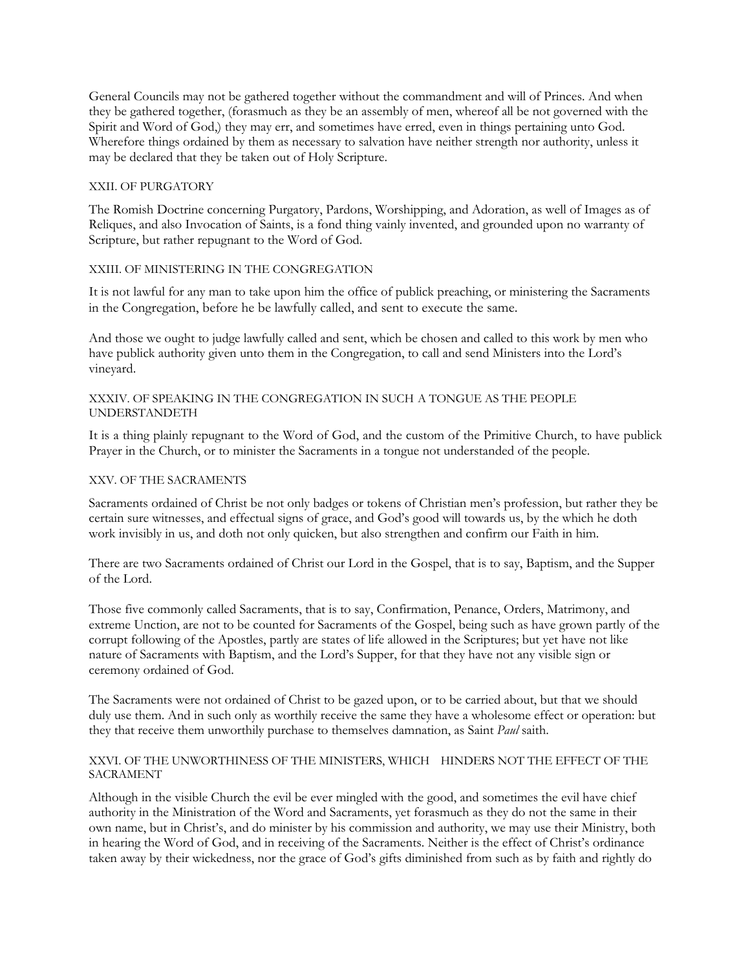General Councils may not be gathered together without the commandment and will of Princes. And when they be gathered together, (forasmuch as they be an assembly of men, whereof all be not governed with the Spirit and Word of God,) they may err, and sometimes have erred, even in things pertaining unto God. Wherefore things ordained by them as necessary to salvation have neither strength nor authority, unless it may be declared that they be taken out of Holy Scripture.

### XXII. OF PURGATORY

The Romish Doctrine concerning Purgatory, Pardons, Worshipping, and Adoration, as well of Images as of Reliques, and also Invocation of Saints, is a fond thing vainly invented, and grounded upon no warranty of Scripture, but rather repugnant to the Word of God.

### XXIII. OF MINISTERING IN THE CONGREGATION

It is not lawful for any man to take upon him the office of publick preaching, or ministering the Sacraments in the Congregation, before he be lawfully called, and sent to execute the same.

And those we ought to judge lawfully called and sent, which be chosen and called to this work by men who have publick authority given unto them in the Congregation, to call and send Ministers into the Lord's vineyard.

### XXXIV. OF SPEAKING IN THE CONGREGATION IN SUCH A TONGUE AS THE PEOPLE UNDERSTANDETH

It is a thing plainly repugnant to the Word of God, and the custom of the Primitive Church, to have publick Prayer in the Church, or to minister the Sacraments in a tongue not understanded of the people.

### XXV. OF THE SACRAMENTS

Sacraments ordained of Christ be not only badges or tokens of Christian men's profession, but rather they be certain sure witnesses, and effectual signs of grace, and God's good will towards us, by the which he doth work invisibly in us, and doth not only quicken, but also strengthen and confirm our Faith in him.

There are two Sacraments ordained of Christ our Lord in the Gospel, that is to say, Baptism, and the Supper of the Lord.

Those five commonly called Sacraments, that is to say, Confirmation, Penance, Orders, Matrimony, and extreme Unction, are not to be counted for Sacraments of the Gospel, being such as have grown partly of the corrupt following of the Apostles, partly are states of life allowed in the Scriptures; but yet have not like nature of Sacraments with Baptism, and the Lord's Supper, for that they have not any visible sign or ceremony ordained of God.

The Sacraments were not ordained of Christ to be gazed upon, or to be carried about, but that we should duly use them. And in such only as worthily receive the same they have a wholesome effect or operation: but they that receive them unworthily purchase to themselves damnation, as Saint *Paul* saith.

### XXVI. OF THE UNWORTHINESS OF THE MINISTERS, WHICH  $\;$  HINDERS NOT THE EFFECT OF THE SACRAMENT

Although in the visible Church the evil be ever mingled with the good, and sometimes the evil have chief authority in the Ministration of the Word and Sacraments, yet forasmuch as they do not the same in their own name, but in Christ's, and do minister by his commission and authority, we may use their Ministry, both in hearing the Word of God, and in receiving of the Sacraments. Neither is the effect of Christ's ordinance taken away by their wickedness, nor the grace of God's gifts diminished from such as by faith and rightly do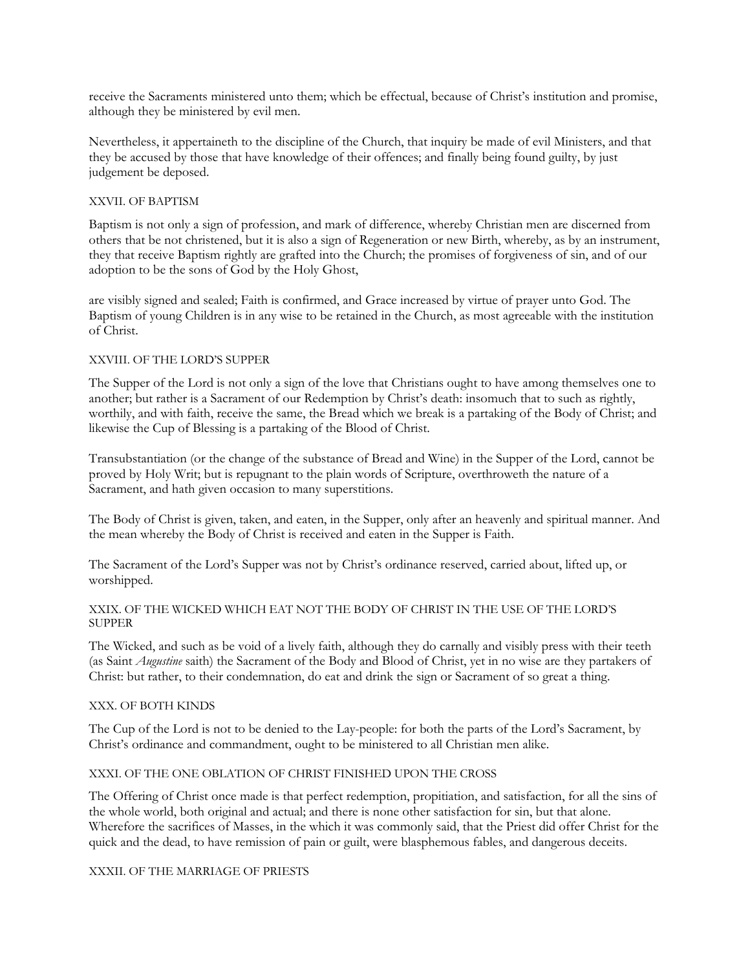receive the Sacraments ministered unto them; which be effectual, because of Christ's institution and promise, although they be ministered by evil men.

Nevertheless, it appertaineth to the discipline of the Church, that inquiry be made of evil Ministers, and that they be accused by those that have knowledge of their offences; and finally being found guilty, by just judgement be deposed.

### XXVII. OF BAPTISM

Baptism is not only a sign of profession, and mark of difference, whereby Christian men are discerned from others that be not christened, but it is also a sign of Regeneration or new Birth, whereby, as by an instrument, they that receive Baptism rightly are grafted into the Church; the promises of forgiveness of sin, and of our adoption to be the sons of God by the Holy Ghost,

are visibly signed and sealed; Faith is confirmed, and Grace increased by virtue of prayer unto God. The Baptism of young Children is in any wise to be retained in the Church, as most agreeable with the institution of Christ.

### XXVIII. OF THE LORD'S SUPPER

The Supper of the Lord is not only a sign of the love that Christians ought to have among themselves one to another; but rather is a Sacrament of our Redemption by Christ's death: insomuch that to such as rightly, worthily, and with faith, receive the same, the Bread which we break is a partaking of the Body of Christ; and likewise the Cup of Blessing is a partaking of the Blood of Christ.

Transubstantiation (or the change of the substance of Bread and Wine) in the Supper of the Lord, cannot be proved by Holy Writ; but is repugnant to the plain words of Scripture, overthroweth the nature of a Sacrament, and hath given occasion to many superstitions.

The Body of Christ is given, taken, and eaten, in the Supper, only after an heavenly and spiritual manner. And the mean whereby the Body of Christ is received and eaten in the Supper is Faith.

The Sacrament of the Lord's Supper was not by Christ's ordinance reserved, carried about, lifted up, or worshipped.

### XXIX. OF THE WICKED WHICH EAT NOT THE BODY OF CHRIST IN THE USE OF THE LORD'S SUPPER

The Wicked, and such as be void of a lively faith, although they do carnally and visibly press with their teeth (as Saint *Augustine* saith) the Sacrament of the Body and Blood of Christ, yet in no wise are they partakers of Christ: but rather, to their condemnation, do eat and drink the sign or Sacrament of so great a thing.

### XXX. OF BOTH KINDS

The Cup of the Lord is not to be denied to the Lay-people: for both the parts of the Lord's Sacrament, by Christ's ordinance and commandment, ought to be ministered to all Christian men alike.

### XXXI. OF THE ONE OBLATION OF CHRIST FINISHED UPON THE CROSS

The Offering of Christ once made is that perfect redemption, propitiation, and satisfaction, for all the sins of the whole world, both original and actual; and there is none other satisfaction for sin, but that alone. Wherefore the sacrifices of Masses, in the which it was commonly said, that the Priest did offer Christ for the quick and the dead, to have remission of pain or guilt, were blasphemous fables, and dangerous deceits.

### XXXII. OF THE MARRIAGE OF PRIESTS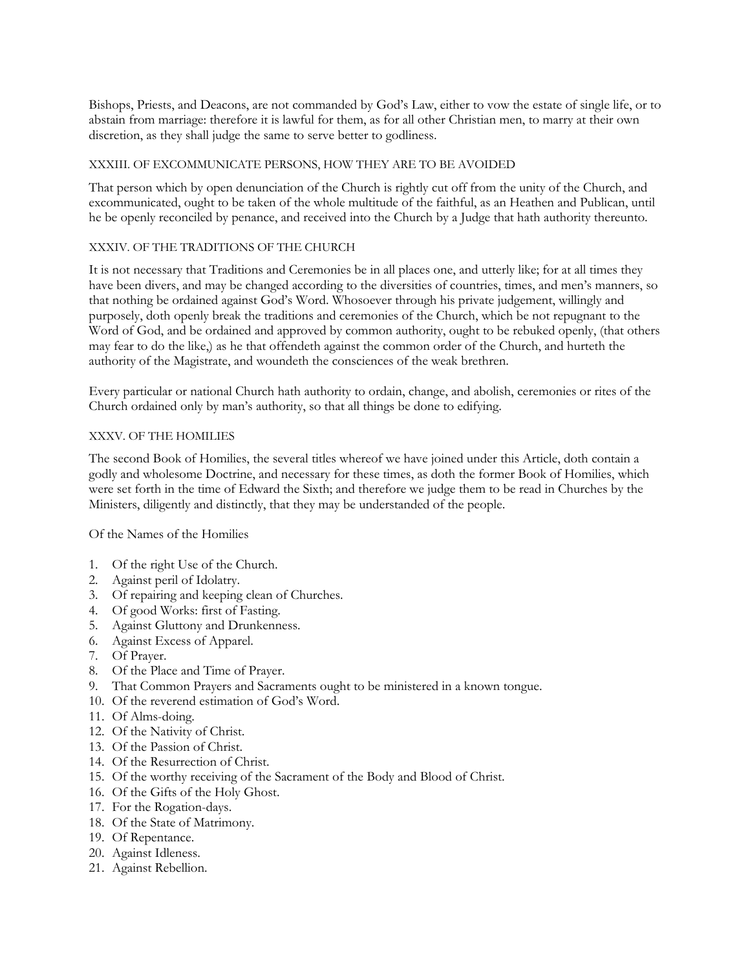Bishops, Priests, and Deacons, are not commanded by God's Law, either to vow the estate of single life, or to abstain from marriage: therefore it is lawful for them, as for all other Christian men, to marry at their own discretion, as they shall judge the same to serve better to godliness.

### XXXIII. OF EXCOMMUNICATE PERSONS, HOW THEY ARE TO BE AVOIDED

That person which by open denunciation of the Church is rightly cut off from the unity of the Church, and excommunicated, ought to be taken of the whole multitude of the faithful, as an Heathen and Publican, until he be openly reconciled by penance, and received into the Church by a Judge that hath authority thereunto.

# XXXIV. OF THE TRADITIONS OF THE CHURCH

It is not necessary that Traditions and Ceremonies be in all places one, and utterly like; for at all times they have been divers, and may be changed according to the diversities of countries, times, and men's manners, so that nothing be ordained against God's Word. Whosoever through his private judgement, willingly and purposely, doth openly break the traditions and ceremonies of the Church, which be not repugnant to the Word of God, and be ordained and approved by common authority, ought to be rebuked openly, (that others may fear to do the like,) as he that offendeth against the common order of the Church, and hurteth the authority of the Magistrate, and woundeth the consciences of the weak brethren.

Every particular or national Church hath authority to ordain, change, and abolish, ceremonies or rites of the Church ordained only by man's authority, so that all things be done to edifying.

# XXXV. OF THE HOMILIES

The second Book of Homilies, the several titles whereof we have joined under this Article, doth contain a godly and wholesome Doctrine, and necessary for these times, as doth the former Book of Homilies, which were set forth in the time of Edward the Sixth; and therefore we judge them to be read in Churches by the Ministers, diligently and distinctly, that they may be understanded of the people.

Of the Names of the Homilies

- 1. Of the right Use of the Church.
- 2. Against peril of Idolatry.
- 3. Of repairing and keeping clean of Churches.
- 4. Of good Works: first of Fasting.
- 5. Against Gluttony and Drunkenness.
- 6. Against Excess of Apparel.
- 7. Of Prayer.
- 8. Of the Place and Time of Prayer.
- 9. That Common Prayers and Sacraments ought to be ministered in a known tongue.
- 10. Of the reverend estimation of God's Word.
- 11. Of Alms-doing.
- 12. Of the Nativity of Christ.
- 13. Of the Passion of Christ.
- 14. Of the Resurrection of Christ.
- 15. Of the worthy receiving of the Sacrament of the Body and Blood of Christ.
- 16. Of the Gifts of the Holy Ghost.
- 17. For the Rogation-days.
- 18. Of the State of Matrimony.
- 19. Of Repentance.
- 20. Against Idleness.
- 21. Against Rebellion.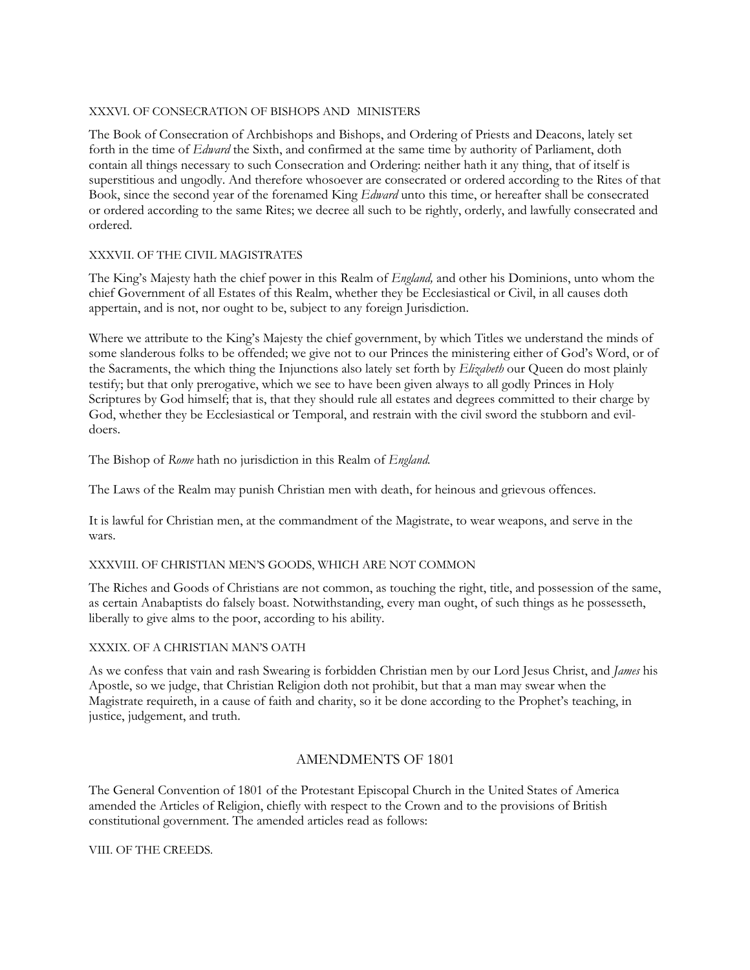### XXXVI. OF CONSECRATION OF BISHOPS AND MINISTERS

The Book of Consecration of Archbishops and Bishops, and Ordering of Priests and Deacons, lately set forth in the time of *Edward* the Sixth, and confirmed at the same time by authority of Parliament, doth contain all things necessary to such Consecration and Ordering: neither hath it any thing, that of itself is superstitious and ungodly. And therefore whosoever are consecrated or ordered according to the Rites of that Book, since the second year of the forenamed King *Edward* unto this time, or hereafter shall be consecrated or ordered according to the same Rites; we decree all such to be rightly, orderly, and lawfully consecrated and ordered.

### XXXVII. OF THE CIVIL MAGISTRATES

The King's Majesty hath the chief power in this Realm of *England,* and other his Dominions, unto whom the chief Government of all Estates of this Realm, whether they be Ecclesiastical or Civil, in all causes doth appertain, and is not, nor ought to be, subject to any foreign Jurisdiction.

Where we attribute to the King's Majesty the chief government, by which Titles we understand the minds of some slanderous folks to be offended; we give not to our Princes the ministering either of God's Word, or of the Sacraments, the which thing the Injunctions also lately set forth by *Elizabeth* our Queen do most plainly testify; but that only prerogative, which we see to have been given always to all godly Princes in Holy Scriptures by God himself; that is, that they should rule all estates and degrees committed to their charge by God, whether they be Ecclesiastical or Temporal, and restrain with the civil sword the stubborn and evildoers.

The Bishop of *Rome* hath no jurisdiction in this Realm of *England.*

The Laws of the Realm may punish Christian men with death, for heinous and grievous offences.

It is lawful for Christian men, at the commandment of the Magistrate, to wear weapons, and serve in the wars.

# XXXVIII. OF CHRISTIAN MEN'S GOODS, WHICH ARE NOT COMMON

The Riches and Goods of Christians are not common, as touching the right, title, and possession of the same, as certain Anabaptists do falsely boast. Notwithstanding, every man ought, of such things as he possesseth, liberally to give alms to the poor, according to his ability.

### XXXIX. OF A CHRISTIAN MAN'S OATH

As we confess that vain and rash Swearing is forbidden Christian men by our Lord Jesus Christ, and *James* his Apostle, so we judge, that Christian Religion doth not prohibit, but that a man may swear when the Magistrate requireth, in a cause of faith and charity, so it be done according to the Prophet's teaching, in justice, judgement, and truth.

# AMENDMENTS OF 1801

The General Convention of 1801 of the Protestant Episcopal Church in the United States of America amended the Articles of Religion, chiefly with respect to the Crown and to the provisions of British constitutional government. The amended articles read as follows:

VIII. OF THE CREEDS.